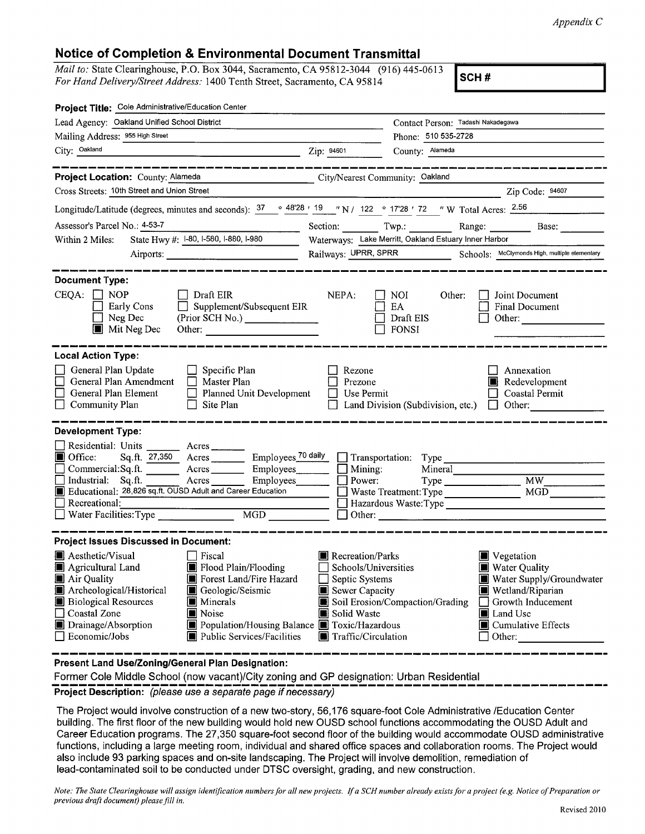**Notice of Completion & Environmental Document Transmittal**<br> *Mail to:* State Clearinghouse, P.O. Box 3044, Sacramento, CA 95812-3044 (916) 445-0613 **ISC** *Mail to:* State Clearinghouse, P.O. Box 3044, Sacramento, CA 95812-3044 (916) 445-0613<br>For Hand Delivery/Street Address: 1400 Tenth Street, Sacramento, CA 95814 **SCH #** 

| Project Title: Cole Administrative/Education Center                                                                                                                                                                                                                                                                                                                                             |                                                                                                                    |                                                                                                                                                                                            |  |
|-------------------------------------------------------------------------------------------------------------------------------------------------------------------------------------------------------------------------------------------------------------------------------------------------------------------------------------------------------------------------------------------------|--------------------------------------------------------------------------------------------------------------------|--------------------------------------------------------------------------------------------------------------------------------------------------------------------------------------------|--|
| Lead Agency: Oakland Unified School District                                                                                                                                                                                                                                                                                                                                                    |                                                                                                                    | Contact Person: Tadashi Nakadegawa                                                                                                                                                         |  |
| Mailing Address: 955 High Street                                                                                                                                                                                                                                                                                                                                                                |                                                                                                                    | Phone: 510 535-2728                                                                                                                                                                        |  |
| City: Oakland<br><u> 1989 - Johann Barn, mars ann an t-Amhair an t-A</u>                                                                                                                                                                                                                                                                                                                        | Zip: 94601                                                                                                         | County: Alameda                                                                                                                                                                            |  |
|                                                                                                                                                                                                                                                                                                                                                                                                 |                                                                                                                    |                                                                                                                                                                                            |  |
| Project Location: County: Alameda<br><u> 1989 - John Harry Harry Harry Harry Harry Harry Harry Harry Harry Harry Harry Harry Harry Harry Harry Harry H</u>                                                                                                                                                                                                                                      |                                                                                                                    | City/Nearest Community: Oakland                                                                                                                                                            |  |
| Cross Streets: 10th Street and Union Street                                                                                                                                                                                                                                                                                                                                                     |                                                                                                                    | Zip Code: 94607                                                                                                                                                                            |  |
| Longitude/Latitude (degrees, minutes and seconds): $\frac{37}{10}$ $\frac{4828}{19}$ $\frac{19}{19}$ $\frac{19}{11}$ $\frac{122}{122}$ $\frac{1728}{172}$ $\frac{172}{12}$ $\frac{172}{12}$ $\frac{172}{12}$ $\frac{172}{12}$ $\frac{172}{12}$ $\frac{172}{12}$ $\frac{172}{12}$                                                                                                                |                                                                                                                    |                                                                                                                                                                                            |  |
| Assessor's Parcel No.: 4-53-7<br><u> 1980 - Johann Barnett, fransk politiker (</u>                                                                                                                                                                                                                                                                                                              |                                                                                                                    | Section: Twp.: Range: Base: Base:                                                                                                                                                          |  |
| State Hwy #: 1-80, 1-580, 1-880, 1-980<br>Within 2 Miles:                                                                                                                                                                                                                                                                                                                                       |                                                                                                                    | Waterways: Lake Merritt, Oakland Estuary Inner Harbor                                                                                                                                      |  |
| Airports:                                                                                                                                                                                                                                                                                                                                                                                       | Railways: UPRR, SPRR Schools: McClymonds High, multiple elementary                                                 |                                                                                                                                                                                            |  |
| <b>Document Type:</b>                                                                                                                                                                                                                                                                                                                                                                           |                                                                                                                    |                                                                                                                                                                                            |  |
| $CEQA: \Box NOP$<br>$\Box$ Draft EIR<br>Early Cons<br>Supplement/Subsequent EIR<br>(Prior SCH No.)<br>Neg Dec<br>Mit Neg Dec                                                                                                                                                                                                                                                                    | NEPA:                                                                                                              | <b>NOI</b><br>Other:<br>Joint Document<br>EA<br>Final Document<br>Draft EIS<br>Other:<br><b>FONSI</b>                                                                                      |  |
| <b>Local Action Type:</b>                                                                                                                                                                                                                                                                                                                                                                       |                                                                                                                    |                                                                                                                                                                                            |  |
| General Plan Update<br>$\Box$ Specific Plan<br>General Plan Amendment<br>$\Box$<br>Master Plan<br>L<br>General Plan Element<br>Planned Unit Development<br>Community Plan<br>Site Plan<br>$\Box$                                                                                                                                                                                                | Rezone<br>Prezone<br>Use Permit                                                                                    | Annexation<br>Redevelopment<br>Coastal Permit<br>Land Division (Subdivision, etc.) $\Box$ Other:                                                                                           |  |
| <b>Development Type:</b><br>Residential: Units _______ Acres ______<br>Employees 70 daily<br>$\blacksquare$ Office:<br>Sq.ft. 27,350 Acres<br>Employees<br>Commercial:Sq.ft.<br>$Arcres$ <sub>__________</sub><br>Industrial: Sq.ft.<br>$Arcres$ <sub>_________</sub><br>Employees<br>Educational: 28,826 sq.ft. OUSD Adult and Career Education<br>Recreational:<br>Water Facilities: Type MGD | Mining:<br>$\Box$ Power:                                                                                           | Transportation: Type<br>Mineral<br>MW<br>MGD<br>Hazardous Waste: Type Manuscriptus Manuscriptus Manuscriptus Manuscriptus Manuscriptus Manuscriptus Manuscriptus Ma                        |  |
| <b>Project Issues Discussed in Document:</b>                                                                                                                                                                                                                                                                                                                                                    |                                                                                                                    |                                                                                                                                                                                            |  |
| Aesthetic/Visual<br>$\Box$ Fiscal<br>Flood Plain/Flooding<br>Agricultural Land<br>Air Quality<br>Forest Land/Fire Hazard<br>Archeological/Historical<br>Geologic/Seismic<br>IШ<br><b>Biological Resources</b><br>Minerals<br>Coastal Zone<br>Noise<br>Drainage/Absorption<br>Population/Housing Balance F Toxic/Hazardous<br>Public Services/Facilities<br>$\Box$ Economic/Jobs                 | Recreation/Parks<br>Schools/Universities<br>Septic Systems<br>Sewer Capacity<br>Solid Waste<br>Traffic/Circulation | Vegetation<br><b>Net</b> Water Quality<br>Water Supply/Groundwater<br>Wetland/Riparian<br>Soil Erosion/Compaction/Grading<br>Growth Inducement<br>Land Use<br>Cumulative Effects<br>Other: |  |

**Present Land Use/Zoning/General Plan Designation:** 

Former Cole Middle School (now vacant)/City zoning and GP designation: Urban Residential<br> **Project Description:** (please use a separate page if necessary)

The Project would involve construction of a new two-story, 56,176 square-foot Cole Administrative /Education Center building. The first floor of the new building would hold new OUSD school functions accommodating the OUSD Adult and Career Education programs. The 27,350 square-foot second floor of the building would accommodate OUSD administrative functions, including a large meeting room, individual and shared office spaces and collaboration rooms. The Project would also include 93 parking spaces and on-site landscaping. The Project will involve demolition, remediation of lead-contaminated soil to be conducted under DTSC oversight, grading, and new construction.

*Note: The State Clearinghouse will assign identification numbers for all new projects. If a SCH number already exists for a project (e.g. Notice of Preparation or previous draft document) please fill in.*